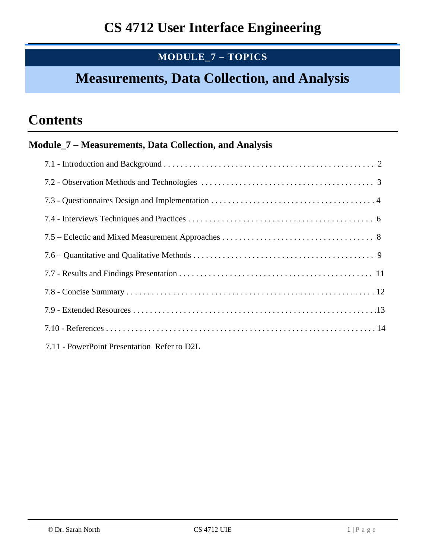## **MODULE\_7 – TOPICS**

## **Measurements, Data Collection, and Analysis**

# **Contents**

### **Module\_7 – Measurements, Data Collection, and Analysis**

| 7.11 - PowerPoint Presentation–Refer to D2L |  |
|---------------------------------------------|--|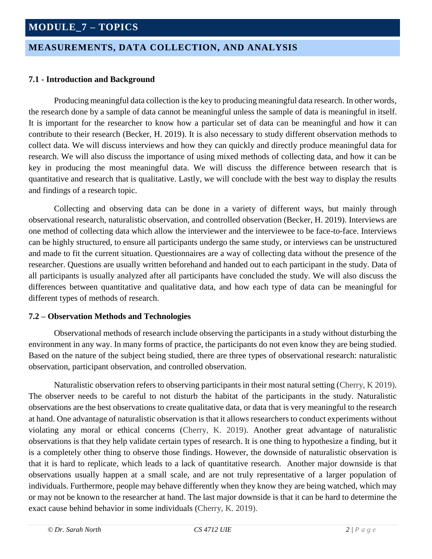### **MEASUREMENTS, DATA COLLECTION, AND ANALYSIS**

#### **7.1 - Introduction and Background**

Producing meaningful data collection is the key to producing meaningful data research. In other words, the research done by a sample of data cannot be meaningful unless the sample of data is meaningful in itself. It is important for the researcher to know how a particular set of data can be meaningful and how it can contribute to their research (Becker, H. 2019). It is also necessary to study different observation methods to collect data. We will discuss interviews and how they can quickly and directly produce meaningful data for research. We will also discuss the importance of using mixed methods of collecting data, and how it can be key in producing the most meaningful data. We will discuss the difference between research that is quantitative and research that is qualitative. Lastly, we will conclude with the best way to display the results and findings of a research topic.

Collecting and observing data can be done in a variety of different ways, but mainly through observational research, naturalistic observation, and controlled observation (Becker, H. 2019). Interviews are one method of collecting data which allow the interviewer and the interviewee to be face-to-face. Interviews can be highly structured, to ensure all participants undergo the same study, or interviews can be unstructured and made to fit the current situation. Questionnaires are a way of collecting data without the presence of the researcher. Questions are usually written beforehand and handed out to each participant in the study. Data of all participants is usually analyzed after all participants have concluded the study. We will also discuss the differences between quantitative and qualitative data, and how each type of data can be meaningful for different types of methods of research.

#### **7.2 – Observation Methods and Technologies**

Observational methods of research include observing the participants in a study without disturbing the environment in any way. In many forms of practice, the participants do not even know they are being studied. Based on the nature of the subject being studied, there are three types of observational research: naturalistic observation, participant observation, and controlled observation.

Naturalistic observation refers to observing participants in their most natural setting (Cherry, K 2019). The observer needs to be careful to not disturb the habitat of the participants in the study. Naturalistic observations are the best observations to create qualitative data, or data that is very meaningful to the research at hand. One advantage of naturalistic observation is that it allows researchers to conduct experiments without violating any moral or ethical concerns (Cherry, K. 2019). Another great advantage of naturalistic observations is that they help validate certain types of research. It is one thing to hypothesize a finding, but it is a completely other thing to observe those findings. However, the downside of naturalistic observation is that it is hard to replicate, which leads to a lack of quantitative research. Another major downside is that observations usually happen at a small scale, and are not truly representative of a larger population of individuals. Furthermore, people may behave differently when they know they are being watched, which may or may not be known to the researcher at hand. The last major downside is that it can be hard to determine the exact cause behind behavior in some individuals (Cherry, K. 2019).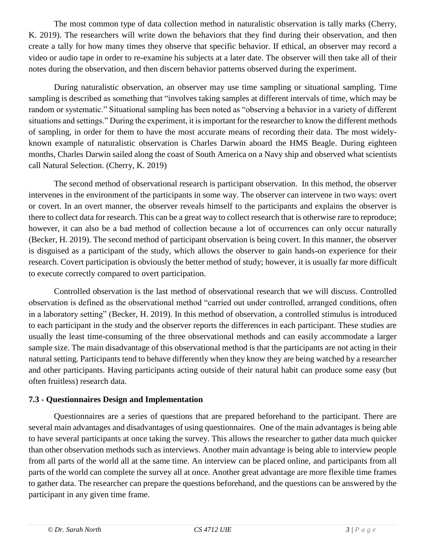The most common type of data collection method in naturalistic observation is tally marks (Cherry, K. 2019). The researchers will write down the behaviors that they find during their observation, and then create a tally for how many times they observe that specific behavior. If ethical, an observer may record a video or audio tape in order to re-examine his subjects at a later date. The observer will then take all of their notes during the observation, and then discern behavior patterns observed during the experiment.

During naturalistic observation, an observer may use time sampling or situational sampling. Time sampling is described as something that "involves taking samples at different intervals of time, which may be random or systematic." Situational sampling has been noted as "observing a behavior in a variety of different situations and settings." During the experiment, it is important for the researcher to know the different methods of sampling, in order for them to have the most accurate means of recording their data. The most widelyknown example of naturalistic observation is Charles Darwin aboard the HMS Beagle. During eighteen months, Charles Darwin sailed along the coast of South America on a Navy ship and observed what scientists call Natural Selection. (Cherry, K. 2019)

The second method of observational research is participant observation. In this method, the observer intervenes in the environment of the participants in some way. The observer can intervene in two ways: overt or covert. In an overt manner, the observer reveals himself to the participants and explains the observer is there to collect data for research. This can be a great way to collect research that is otherwise rare to reproduce; however, it can also be a bad method of collection because a lot of occurrences can only occur naturally (Becker, H. 2019). The second method of participant observation is being covert. In this manner, the observer is disguised as a participant of the study, which allows the observer to gain hands-on experience for their research. Covert participation is obviously the better method of study; however, it is usually far more difficult to execute correctly compared to overt participation.

Controlled observation is the last method of observational research that we will discuss. Controlled observation is defined as the observational method "carried out under controlled, arranged conditions, often in a laboratory setting" (Becker, H. 2019). In this method of observation, a controlled stimulus is introduced to each participant in the study and the observer reports the differences in each participant. These studies are usually the least time-consuming of the three observational methods and can easily accommodate a larger sample size. The main disadvantage of this observational method is that the participants are not acting in their natural setting. Participants tend to behave differently when they know they are being watched by a researcher and other participants. Having participants acting outside of their natural habit can produce some easy (but often fruitless) research data.

#### **7.3 - Questionnaires Design and Implementation**

Questionnaires are a series of questions that are prepared beforehand to the participant. There are several main advantages and disadvantages of using questionnaires. One of the main advantages is being able to have several participants at once taking the survey. This allows the researcher to gather data much quicker than other observation methods such as interviews. Another main advantage is being able to interview people from all parts of the world all at the same time. An interview can be placed online, and participants from all parts of the world can complete the survey all at once. Another great advantage are more flexible time frames to gather data. The researcher can prepare the questions beforehand, and the questions can be answered by the participant in any given time frame.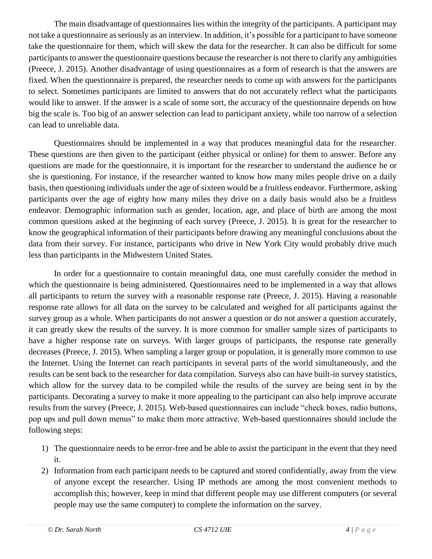The main disadvantage of questionnaires lies within the integrity of the participants. A participant may not take a questionnaire as seriously as an interview. In addition, it's possible for a participant to have someone take the questionnaire for them, which will skew the data for the researcher. It can also be difficult for some participants to answer the questionnaire questions because the researcher is not there to clarify any ambiguities (Preece, J. 2015). Another disadvantage of using questionnaires as a form of research is that the answers are fixed. When the questionnaire is prepared, the researcher needs to come up with answers for the participants to select. Sometimes participants are limited to answers that do not accurately reflect what the participants would like to answer. If the answer is a scale of some sort, the accuracy of the questionnaire depends on how big the scale is. Too big of an answer selection can lead to participant anxiety, while too narrow of a selection can lead to unreliable data.

Questionnaires should be implemented in a way that produces meaningful data for the researcher. These questions are then given to the participant (either physical or online) for them to answer. Before any questions are made for the questionnaire, it is important for the researcher to understand the audience he or she is questioning. For instance, if the researcher wanted to know how many miles people drive on a daily basis, then questioning individuals under the age of sixteen would be a fruitless endeavor. Furthermore, asking participants over the age of eighty how many miles they drive on a daily basis would also be a fruitless endeavor. Demographic information such as gender, location, age, and place of birth are among the most common questions asked at the beginning of each survey (Preece, J. 2015). It is great for the researcher to know the geographical information of their participants before drawing any meaningful conclusions about the data from their survey. For instance, participants who drive in New York City would probably drive much less than participants in the Midwestern United States.

In order for a questionnaire to contain meaningful data, one must carefully consider the method in which the questionnaire is being administered. Questionnaires need to be implemented in a way that allows all participants to return the survey with a reasonable response rate (Preece, J. 2015). Having a reasonable response rate allows for all data on the survey to be calculated and weighed for all participants against the survey group as a whole. When participants do not answer a question or do not answer a question accurately, it can greatly skew the results of the survey. It is more common for smaller sample sizes of participants to have a higher response rate on surveys. With larger groups of participants, the response rate generally decreases (Preece, J. 2015). When sampling a larger group or population, it is generally more common to use the Internet. Using the Internet can reach participants in several parts of the world simultaneously, and the results can be sent back to the researcher for data compilation. Surveys also can have built-in survey statistics, which allow for the survey data to be compiled while the results of the survey are being sent in by the participants. Decorating a survey to make it more appealing to the participant can also help improve accurate results from the survey (Preece, J. 2015). Web-based questionnaires can include "check boxes, radio buttons, pop ups and pull down menus" to make them more attractive. Web-based questionnaires should include the following steps:

- 1) The questionnaire needs to be error-free and be able to assist the participant in the event that they need it.
- 2) Information from each participant needs to be captured and stored confidentially, away from the view of anyone except the researcher. Using IP methods are among the most convenient methods to accomplish this; however, keep in mind that different people may use different computers (or several people may use the same computer) to complete the information on the survey.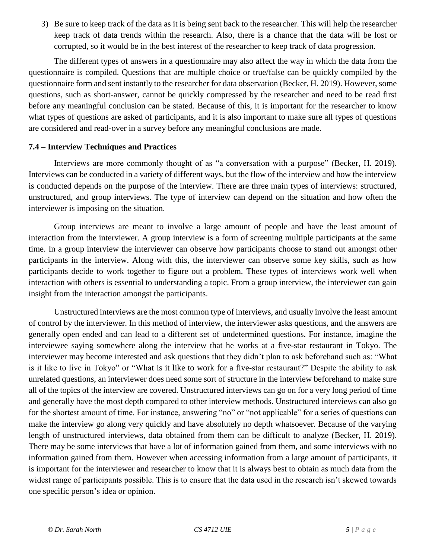3) Be sure to keep track of the data as it is being sent back to the researcher. This will help the researcher keep track of data trends within the research. Also, there is a chance that the data will be lost or corrupted, so it would be in the best interest of the researcher to keep track of data progression.

The different types of answers in a questionnaire may also affect the way in which the data from the questionnaire is compiled. Questions that are multiple choice or true/false can be quickly compiled by the questionnaire form and sent instantly to the researcher for data observation (Becker, H. 2019). However, some questions, such as short-answer, cannot be quickly compressed by the researcher and need to be read first before any meaningful conclusion can be stated. Because of this, it is important for the researcher to know what types of questions are asked of participants, and it is also important to make sure all types of questions are considered and read-over in a survey before any meaningful conclusions are made.

#### **7.4 – Interview Techniques and Practices**

Interviews are more commonly thought of as "a conversation with a purpose" (Becker, H. 2019). Interviews can be conducted in a variety of different ways, but the flow of the interview and how the interview is conducted depends on the purpose of the interview. There are three main types of interviews: structured, unstructured, and group interviews. The type of interview can depend on the situation and how often the interviewer is imposing on the situation.

Group interviews are meant to involve a large amount of people and have the least amount of interaction from the interviewer. A group interview is a form of screening multiple participants at the same time. In a group interview the interviewer can observe how participants choose to stand out amongst other participants in the interview. Along with this, the interviewer can observe some key skills, such as how participants decide to work together to figure out a problem. These types of interviews work well when interaction with others is essential to understanding a topic. From a group interview, the interviewer can gain insight from the interaction amongst the participants.

Unstructured interviews are the most common type of interviews, and usually involve the least amount of control by the interviewer. In this method of interview, the interviewer asks questions, and the answers are generally open ended and can lead to a different set of undetermined questions. For instance, imagine the interviewee saying somewhere along the interview that he works at a five-star restaurant in Tokyo. The interviewer may become interested and ask questions that they didn't plan to ask beforehand such as: "What is it like to live in Tokyo" or "What is it like to work for a five-star restaurant?" Despite the ability to ask unrelated questions, an interviewer does need some sort of structure in the interview beforehand to make sure all of the topics of the interview are covered. Unstructured interviews can go on for a very long period of time and generally have the most depth compared to other interview methods. Unstructured interviews can also go for the shortest amount of time. For instance, answering "no" or "not applicable" for a series of questions can make the interview go along very quickly and have absolutely no depth whatsoever. Because of the varying length of unstructured interviews, data obtained from them can be difficult to analyze (Becker, H. 2019). There may be some interviews that have a lot of information gained from them, and some interviews with no information gained from them. However when accessing information from a large amount of participants, it is important for the interviewer and researcher to know that it is always best to obtain as much data from the widest range of participants possible. This is to ensure that the data used in the research isn't skewed towards one specific person's idea or opinion.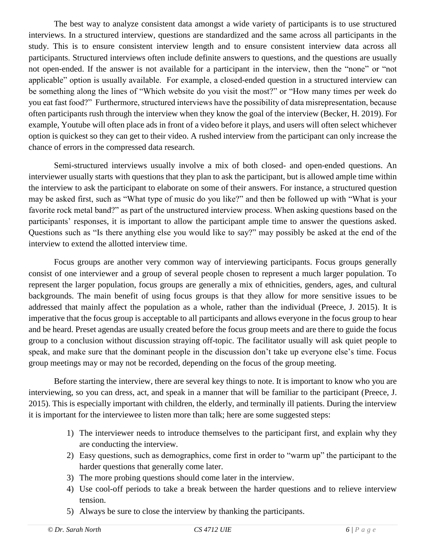The best way to analyze consistent data amongst a wide variety of participants is to use structured interviews. In a structured interview, questions are standardized and the same across all participants in the study. This is to ensure consistent interview length and to ensure consistent interview data across all participants. Structured interviews often include definite answers to questions, and the questions are usually not open-ended. If the answer is not available for a participant in the interview, then the "none" or "not applicable" option is usually available. For example, a closed-ended question in a structured interview can be something along the lines of "Which website do you visit the most?" or "How many times per week do you eat fast food?" Furthermore, structured interviews have the possibility of data misrepresentation, because often participants rush through the interview when they know the goal of the interview (Becker, H. 2019). For example, Youtube will often place ads in front of a video before it plays, and users will often select whichever option is quickest so they can get to their video. A rushed interview from the participant can only increase the chance of errors in the compressed data research.

Semi-structured interviews usually involve a mix of both closed- and open-ended questions. An interviewer usually starts with questions that they plan to ask the participant, but is allowed ample time within the interview to ask the participant to elaborate on some of their answers. For instance, a structured question may be asked first, such as "What type of music do you like?" and then be followed up with "What is your favorite rock metal band?" as part of the unstructured interview process. When asking questions based on the participants' responses, it is important to allow the participant ample time to answer the questions asked. Questions such as "Is there anything else you would like to say?" may possibly be asked at the end of the interview to extend the allotted interview time.

Focus groups are another very common way of interviewing participants. Focus groups generally consist of one interviewer and a group of several people chosen to represent a much larger population. To represent the larger population, focus groups are generally a mix of ethnicities, genders, ages, and cultural backgrounds. The main benefit of using focus groups is that they allow for more sensitive issues to be addressed that mainly affect the population as a whole, rather than the individual (Preece, J. 2015). It is imperative that the focus group is acceptable to all participants and allows everyone in the focus group to hear and be heard. Preset agendas are usually created before the focus group meets and are there to guide the focus group to a conclusion without discussion straying off-topic. The facilitator usually will ask quiet people to speak, and make sure that the dominant people in the discussion don't take up everyone else's time. Focus group meetings may or may not be recorded, depending on the focus of the group meeting.

Before starting the interview, there are several key things to note. It is important to know who you are interviewing, so you can dress, act, and speak in a manner that will be familiar to the participant (Preece, J. 2015). This is especially important with children, the elderly, and terminally ill patients. During the interview it is important for the interviewee to listen more than talk; here are some suggested steps:

- 1) The interviewer needs to introduce themselves to the participant first, and explain why they are conducting the interview.
- 2) Easy questions, such as demographics, come first in order to "warm up" the participant to the harder questions that generally come later.
- 3) The more probing questions should come later in the interview.
- 4) Use cool-off periods to take a break between the harder questions and to relieve interview tension.
- 5) Always be sure to close the interview by thanking the participants.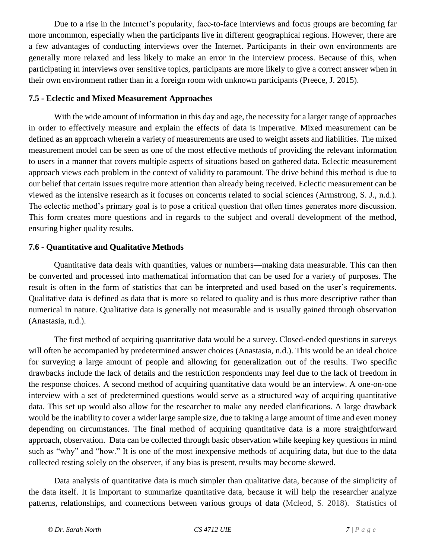Due to a rise in the Internet's popularity, face-to-face interviews and focus groups are becoming far more uncommon, especially when the participants live in different geographical regions. However, there are a few advantages of conducting interviews over the Internet. Participants in their own environments are generally more relaxed and less likely to make an error in the interview process. Because of this, when participating in interviews over sensitive topics, participants are more likely to give a correct answer when in their own environment rather than in a foreign room with unknown participants (Preece, J. 2015).

#### **7.5 - Eclectic and Mixed Measurement Approaches**

With the wide amount of information in this day and age, the necessity for a larger range of approaches in order to effectively measure and explain the effects of data is imperative. Mixed measurement can be defined as an approach wherein a variety of measurements are used to weight assets and liabilities. The mixed measurement model can be seen as one of the most effective methods of providing the relevant information to users in a manner that covers multiple aspects of situations based on gathered data. Eclectic measurement approach views each problem in the context of validity to paramount. The drive behind this method is due to our belief that certain issues require more attention than already being received. Eclectic measurement can be viewed as the intensive research as it focuses on concerns related to social sciences (Armstrong, S. J., n.d.). The eclectic method's primary goal is to pose a critical question that often times generates more discussion. This form creates more questions and in regards to the subject and overall development of the method, ensuring higher quality results.

#### **7.6 - Quantitative and Qualitative Methods**

Quantitative data deals with quantities, values or numbers—making data measurable. This can then be converted and processed into mathematical information that can be used for a variety of purposes. The result is often in the form of statistics that can be interpreted and used based on the user's requirements. Qualitative data is defined as data that is more so related to quality and is thus more descriptive rather than numerical in nature. Qualitative data is generally not measurable and is usually gained through observation (Anastasia, n.d.).

The first method of acquiring quantitative data would be a survey. Closed-ended questions in surveys will often be accompanied by predetermined answer choices (Anastasia, n.d.). This would be an ideal choice for surveying a large amount of people and allowing for generalization out of the results. Two specific drawbacks include the lack of details and the restriction respondents may feel due to the lack of freedom in the response choices. A second method of acquiring quantitative data would be an interview. A one-on-one interview with a set of predetermined questions would serve as a structured way of acquiring quantitative data. This set up would also allow for the researcher to make any needed clarifications. A large drawback would be the inability to cover a wider large sample size, due to taking a large amount of time and even money depending on circumstances. The final method of acquiring quantitative data is a more straightforward approach, observation. Data can be collected through basic observation while keeping key questions in mind such as "why" and "how." It is one of the most inexpensive methods of acquiring data, but due to the data collected resting solely on the observer, if any bias is present, results may become skewed.

Data analysis of quantitative data is much simpler than qualitative data, because of the simplicity of the data itself. It is important to summarize quantitative data, because it will help the researcher analyze patterns, relationships, and connections between various groups of data (Mcleod, S. 2018). Statistics of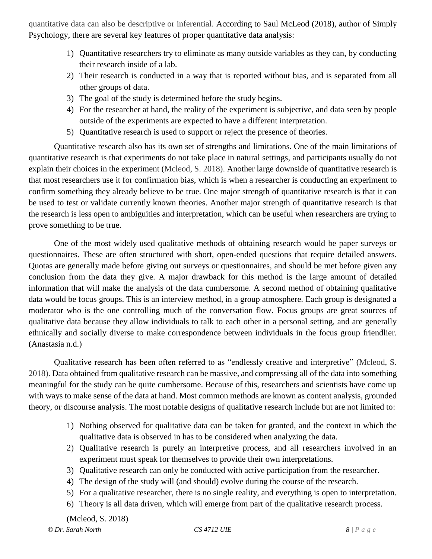quantitative data can also be descriptive or inferential. According to Saul McLeod (2018), author of Simply Psychology, there are several key features of proper quantitative data analysis:

- 1) Quantitative researchers try to eliminate as many outside variables as they can, by conducting their research inside of a lab.
- 2) Their research is conducted in a way that is reported without bias, and is separated from all other groups of data.
- 3) The goal of the study is determined before the study begins.
- 4) For the researcher at hand, the reality of the experiment is subjective, and data seen by people outside of the experiments are expected to have a different interpretation.
- 5) Quantitative research is used to support or reject the presence of theories.

Quantitative research also has its own set of strengths and limitations. One of the main limitations of quantitative research is that experiments do not take place in natural settings, and participants usually do not explain their choices in the experiment (Mcleod, S. 2018). Another large downside of quantitative research is that most researchers use it for confirmation bias, which is when a researcher is conducting an experiment to confirm something they already believe to be true. One major strength of quantitative research is that it can be used to test or validate currently known theories. Another major strength of quantitative research is that the research is less open to ambiguities and interpretation, which can be useful when researchers are trying to prove something to be true.

One of the most widely used qualitative methods of obtaining research would be paper surveys or questionnaires. These are often structured with short, open-ended questions that require detailed answers. Quotas are generally made before giving out surveys or questionnaires, and should be met before given any conclusion from the data they give. A major drawback for this method is the large amount of detailed information that will make the analysis of the data cumbersome. A second method of obtaining qualitative data would be focus groups. This is an interview method, in a group atmosphere. Each group is designated a moderator who is the one controlling much of the conversation flow. Focus groups are great sources of qualitative data because they allow individuals to talk to each other in a personal setting, and are generally ethnically and socially diverse to make correspondence between individuals in the focus group friendlier. (Anastasia n.d.)

Qualitative research has been often referred to as "endlessly creative and interpretive" (Mcleod, S. 2018). Data obtained from qualitative research can be massive, and compressing all of the data into something meaningful for the study can be quite cumbersome. Because of this, researchers and scientists have come up with ways to make sense of the data at hand. Most common methods are known as content analysis, grounded theory, or discourse analysis. The most notable designs of qualitative research include but are not limited to:

- 1) Nothing observed for qualitative data can be taken for granted, and the context in which the qualitative data is observed in has to be considered when analyzing the data.
- 2) Qualitative research is purely an interpretive process, and all researchers involved in an experiment must speak for themselves to provide their own interpretations.
- 3) Qualitative research can only be conducted with active participation from the researcher.
- 4) The design of the study will (and should) evolve during the course of the research.
- 5) For a qualitative researcher, there is no single reality, and everything is open to interpretation.
- 6) Theory is all data driven, which will emerge from part of the qualitative research process.

(Mcleod, S. 2018)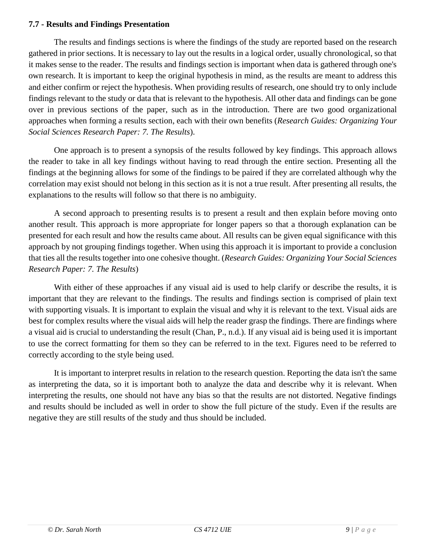#### **7.7 - Results and Findings Presentation**

The results and findings sections is where the findings of the study are reported based on the research gathered in prior sections. It is necessary to lay out the results in a logical order, usually chronological, so that it makes sense to the reader. The results and findings section is important when data is gathered through one's own research. It is important to keep the original hypothesis in mind, as the results are meant to address this and either confirm or reject the hypothesis. When providing results of research, one should try to only include findings relevant to the study or data that is relevant to the hypothesis. All other data and findings can be gone over in previous sections of the paper, such as in the introduction. There are two good organizational approaches when forming a results section, each with their own benefits (*Research Guides: Organizing Your Social Sciences Research Paper: 7. The Results*).

One approach is to present a synopsis of the results followed by key findings. This approach allows the reader to take in all key findings without having to read through the entire section. Presenting all the findings at the beginning allows for some of the findings to be paired if they are correlated although why the correlation may exist should not belong in this section as it is not a true result. After presenting all results, the explanations to the results will follow so that there is no ambiguity.

A second approach to presenting results is to present a result and then explain before moving onto another result. This approach is more appropriate for longer papers so that a thorough explanation can be presented for each result and how the results came about. All results can be given equal significance with this approach by not grouping findings together. When using this approach it is important to provide a conclusion that ties all the results together into one cohesive thought. (*Research Guides: Organizing Your Social Sciences Research Paper: 7. The Results*)

With either of these approaches if any visual aid is used to help clarify or describe the results, it is important that they are relevant to the findings. The results and findings section is comprised of plain text with supporting visuals. It is important to explain the visual and why it is relevant to the text. Visual aids are best for complex results where the visual aids will help the reader grasp the findings. There are findings where a visual aid is crucial to understanding the result (Chan, P., n.d.). If any visual aid is being used it is important to use the correct formatting for them so they can be referred to in the text. Figures need to be referred to correctly according to the style being used.

It is important to interpret results in relation to the research question. Reporting the data isn't the same as interpreting the data, so it is important both to analyze the data and describe why it is relevant. When interpreting the results, one should not have any bias so that the results are not distorted. Negative findings and results should be included as well in order to show the full picture of the study. Even if the results are negative they are still results of the study and thus should be included.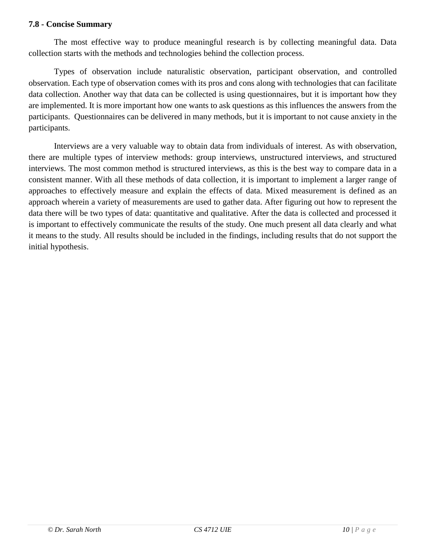#### **7.8 - Concise Summary**

The most effective way to produce meaningful research is by collecting meaningful data. Data collection starts with the methods and technologies behind the collection process.

Types of observation include naturalistic observation, participant observation, and controlled observation. Each type of observation comes with its pros and cons along with technologies that can facilitate data collection. Another way that data can be collected is using questionnaires, but it is important how they are implemented. It is more important how one wants to ask questions as this influences the answers from the participants. Questionnaires can be delivered in many methods, but it is important to not cause anxiety in the participants.

Interviews are a very valuable way to obtain data from individuals of interest. As with observation, there are multiple types of interview methods: group interviews, unstructured interviews, and structured interviews. The most common method is structured interviews, as this is the best way to compare data in a consistent manner. With all these methods of data collection, it is important to implement a larger range of approaches to effectively measure and explain the effects of data. Mixed measurement is defined as an approach wherein a variety of measurements are used to gather data. After figuring out how to represent the data there will be two types of data: quantitative and qualitative. After the data is collected and processed it is important to effectively communicate the results of the study. One much present all data clearly and what it means to the study. All results should be included in the findings, including results that do not support the initial hypothesis.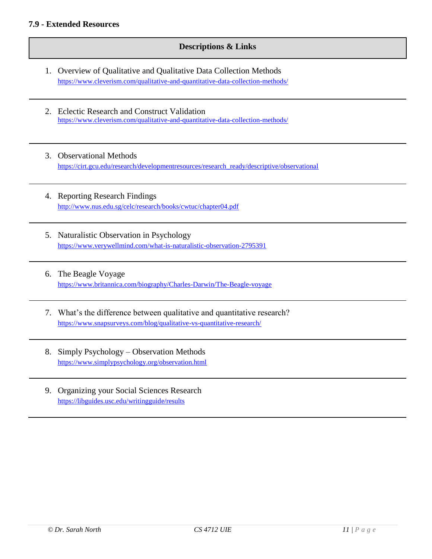#### **Descriptions & Links**

- 1. Overview of Qualitative and Qualitative Data Collection Methods <https://www.cleverism.com/qualitative-and-quantitative-data-collection-methods/>
- 2. Eclectic Research and Construct Validation <https://www.cleverism.com/qualitative-and-quantitative-data-collection-methods/>
- 3. Observational Methods [https://cirt.gcu.edu/research/developmentresources/research\\_ready/descriptive/observational](https://cirt.gcu.edu/research/developmentresources/research_ready/descriptive/observational)
- 4. Reporting Research Findings <http://www.nus.edu.sg/celc/research/books/cwtuc/chapter04.pdf>
- 5. Naturalistic Observation in Psychology <https://www.verywellmind.com/what-is-naturalistic-observation-2795391>
- 6. The Beagle Voyage <https://www.britannica.com/biography/Charles-Darwin/The-Beagle-voyage>
- 7. What's the difference between qualitative and quantitative research? <https://www.snapsurveys.com/blog/qualitative-vs-quantitative-research/>
- 8. Simply Psychology Observation Methods <https://www.simplypsychology.org/observation.html>
- 9. Organizing your Social Sciences Research <https://libguides.usc.edu/writingguide/results>